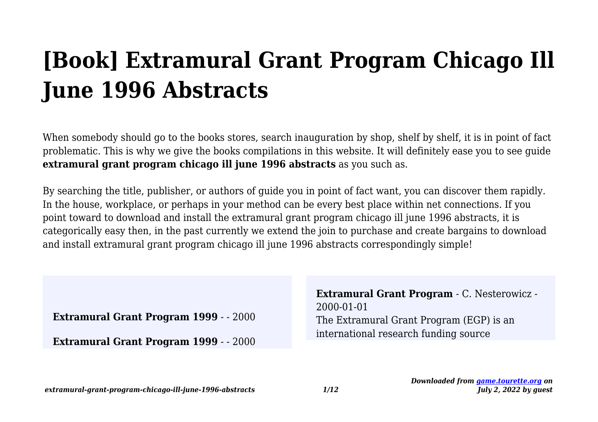# **[Book] Extramural Grant Program Chicago Ill June 1996 Abstracts**

When somebody should go to the books stores, search inauguration by shop, shelf by shelf, it is in point of fact problematic. This is why we give the books compilations in this website. It will definitely ease you to see guide **extramural grant program chicago ill june 1996 abstracts** as you such as.

By searching the title, publisher, or authors of guide you in point of fact want, you can discover them rapidly. In the house, workplace, or perhaps in your method can be every best place within net connections. If you point toward to download and install the extramural grant program chicago ill june 1996 abstracts, it is categorically easy then, in the past currently we extend the join to purchase and create bargains to download and install extramural grant program chicago ill june 1996 abstracts correspondingly simple!

**Extramural Grant Program 1999** - - 2000

**Extramural Grant Program 1999** - - 2000

**Extramural Grant Program** - C. Nesterowicz - 2000-01-01 The Extramural Grant Program (EGP) is an international research funding source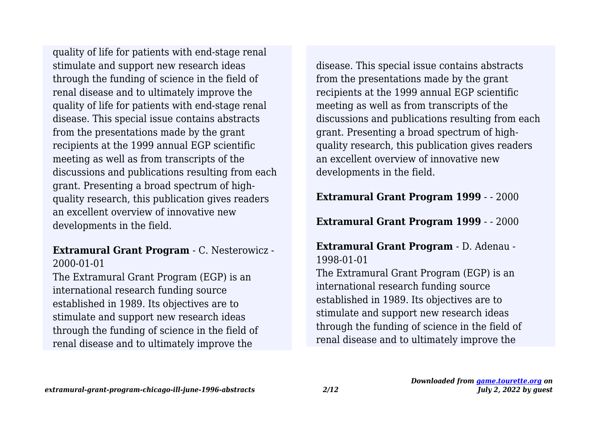stimulate and support new research ideas through the funding of science in the field of renal disease and to ultimately improve the quality of life for patients with end-stage renal disease. This special issue contains abstracts from the presentations made by the grant recipients at the 1999 annual EGP scientific meeting as well as from transcripts of the discussions and publications resulting from each grant. Presenting a broad spectrum of highquality research, this publication gives readers an excellent overview of innovative new developments in the field. quality of life for patients with end-stage renal

#### **Extramural Grant Program** - C. Nesterowicz - 2000-01-01

The Extramural Grant Program (EGP) is an international research funding source established in 1989. Its objectives are to stimulate and support new research ideas through the funding of science in the field of renal disease and to ultimately improve the

disease. This special issue contains abstracts from the presentations made by the grant recipients at the 1999 annual EGP scientific meeting as well as from transcripts of the discussions and publications resulting from each grant. Presenting a broad spectrum of highquality research, this publication gives readers an excellent overview of innovative new developments in the field.

**Extramural Grant Program 1999** - - 2000

**Extramural Grant Program 1999** - - 2000

**Extramural Grant Program** - D. Adenau - 1998-01-01 The Extramural Grant Program (EGP) is an international research funding source established in 1989. Its objectives are to stimulate and support new research ideas through the funding of science in the field of renal disease and to ultimately improve the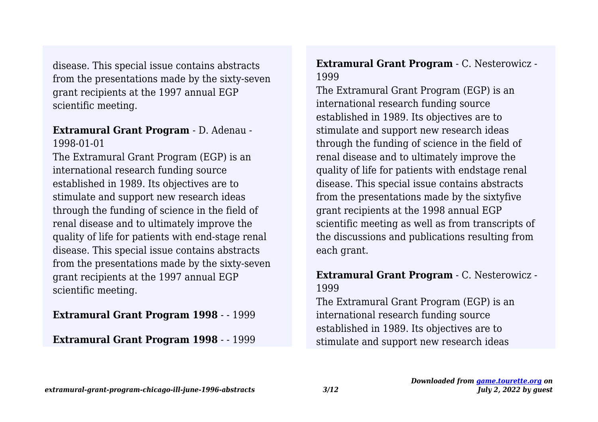disease. This special issue contains abstracts from the presentations made by the sixty-seven grant recipients at the 1997 annual EGP scientific meeting.

#### **Extramural Grant Program** - D. Adenau - 1998-01-01

The Extramural Grant Program (EGP) is an international research funding source established in 1989. Its objectives are to stimulate and support new research ideas through the funding of science in the field of renal disease and to ultimately improve the quality of life for patients with end-stage renal disease. This special issue contains abstracts from the presentations made by the sixty-seven grant recipients at the 1997 annual EGP scientific meeting.

#### **Extramural Grant Program 1998** - - 1999

#### **Extramural Grant Program 1998** - - 1999

# **Extramural Grant Program** - C. Nesterowicz - 1999

The Extramural Grant Program (EGP) is an international research funding source established in 1989. Its objectives are to stimulate and support new research ideas through the funding of science in the field of renal disease and to ultimately improve the quality of life for patients with endstage renal disease. This special issue contains abstracts from the presentations made by the sixtyfive grant recipients at the 1998 annual EGP scientific meeting as well as from transcripts of the discussions and publications resulting from each grant.

# **Extramural Grant Program** - C. Nesterowicz - 1999

The Extramural Grant Program (EGP) is an international research funding source established in 1989. Its objectives are to stimulate and support new research ideas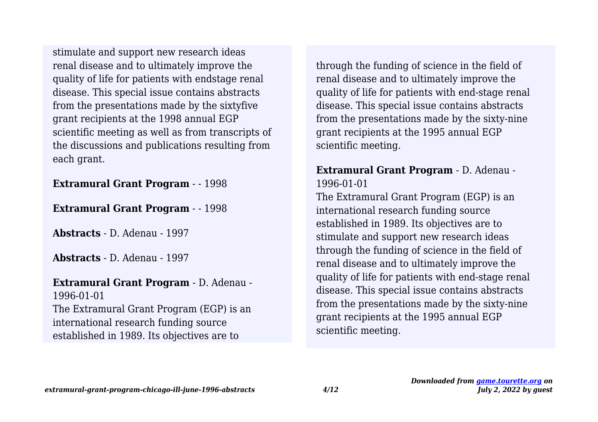renal disease and to ultimately improve the quality of life for patients with endstage renal disease. This special issue contains abstracts from the presentations made by the sixtyfive grant recipients at the 1998 annual EGP scientific meeting as well as from transcripts of the discussions and publications resulting from each grant. stimulate and support new research ideas

#### **Extramural Grant Program** - - 1998

#### **Extramural Grant Program** - - 1998

**Abstracts** - D. Adenau - 1997

**Abstracts** - D. Adenau - 1997

#### **Extramural Grant Program** - D. Adenau - 1996-01-01

The Extramural Grant Program (EGP) is an international research funding source established in 1989. Its objectives are to

through the funding of science in the field of renal disease and to ultimately improve the quality of life for patients with end-stage renal disease. This special issue contains abstracts from the presentations made by the sixty-nine grant recipients at the 1995 annual EGP scientific meeting.

### **Extramural Grant Program** - D. Adenau - 1996-01-01

The Extramural Grant Program (EGP) is an international research funding source established in 1989. Its objectives are to stimulate and support new research ideas through the funding of science in the field of renal disease and to ultimately improve the quality of life for patients with end-stage renal disease. This special issue contains abstracts from the presentations made by the sixty-nine grant recipients at the 1995 annual EGP scientific meeting.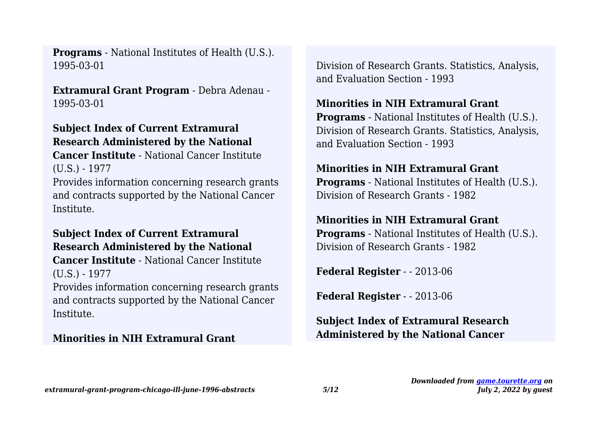1995-03-01 **Programs** - National Institutes of Health (U.S.).

**Extramural Grant Program** - Debra Adenau - 1995-03-01

# **Subject Index of Current Extramural Research Administered by the National**

**Cancer Institute** - National Cancer Institute (U.S.) - 1977

Provides information concerning research grants and contracts supported by the National Cancer Institute.

### **Subject Index of Current Extramural Research Administered by the National Cancer Institute** - National Cancer Institute (U.S.) - 1977

Provides information concerning research grants and contracts supported by the National Cancer Institute.

#### **Minorities in NIH Extramural Grant**

Division of Research Grants. Statistics, Analysis, and Evaluation Section - 1993

### **Minorities in NIH Extramural Grant**

**Programs** - National Institutes of Health (U.S.). Division of Research Grants. Statistics, Analysis, and Evaluation Section - 1993

#### **Minorities in NIH Extramural Grant**

**Programs** - National Institutes of Health (U.S.). Division of Research Grants - 1982

#### **Minorities in NIH Extramural Grant**

**Programs** - National Institutes of Health (U.S.). Division of Research Grants - 1982

**Federal Register** - - 2013-06

**Federal Register** - - 2013-06

# **Subject Index of Extramural Research Administered by the National Cancer**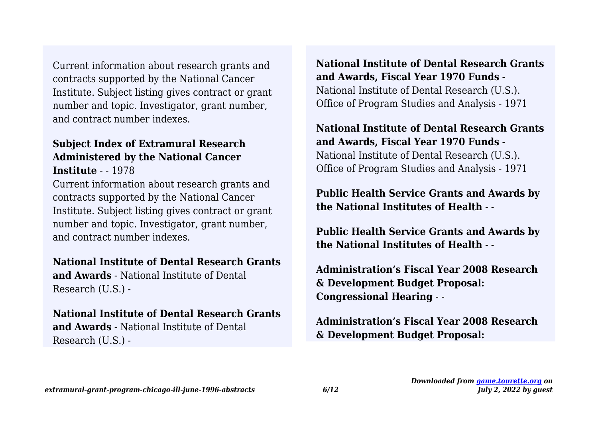Current information about research grants and contracts supported by the National Cancer Institute. Subject listing gives contract or grant number and topic. Investigator, grant number, and contract number indexes.

#### **Subject Index of Extramural Research Administered by the National Cancer Institute** - - 1978

Current information about research grants and contracts supported by the National Cancer Institute. Subject listing gives contract or grant number and topic. Investigator, grant number, and contract number indexes.

#### **National Institute of Dental Research Grants**

**and Awards** - National Institute of Dental Research (U.S.) -

#### **National Institute of Dental Research Grants and Awards** - National Institute of Dental Research (U.S.) -

**National Institute of Dental Research Grants and Awards, Fiscal Year 1970 Funds** - National Institute of Dental Research (U.S.). Office of Program Studies and Analysis - 1971

**National Institute of Dental Research Grants and Awards, Fiscal Year 1970 Funds** - National Institute of Dental Research (U.S.). Office of Program Studies and Analysis - 1971

**Public Health Service Grants and Awards by the National Institutes of Health** - -

**Public Health Service Grants and Awards by the National Institutes of Health** - -

**Administration's Fiscal Year 2008 Research & Development Budget Proposal: Congressional Hearing** - -

**Administration's Fiscal Year 2008 Research & Development Budget Proposal:**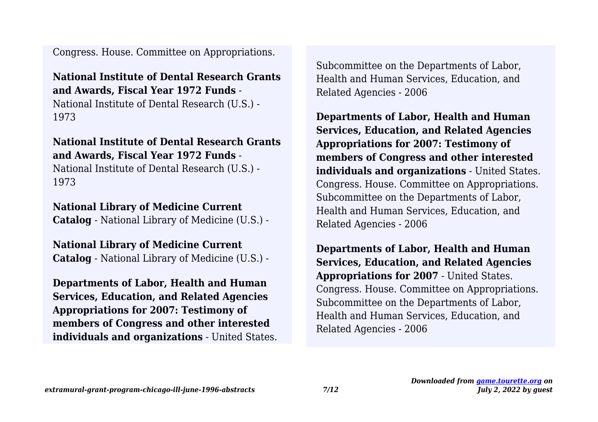Congress. House. Committee on Appropriations.

# **National Institute of Dental Research Grants and Awards, Fiscal Year 1972 Funds** -

National Institute of Dental Research (U.S.) - 1973

# **National Institute of Dental Research Grants and Awards, Fiscal Year 1972 Funds** -

National Institute of Dental Research (U.S.) - 1973

# **National Library of Medicine Current**

**Catalog** - National Library of Medicine (U.S.) -

**National Library of Medicine Current Catalog** - National Library of Medicine (U.S.) -

**Departments of Labor, Health and Human Services, Education, and Related Agencies Appropriations for 2007: Testimony of members of Congress and other interested individuals and organizations** - United States. Subcommittee on the Departments of Labor, Health and Human Services, Education, and Related Agencies - 2006

**Departments of Labor, Health and Human Services, Education, and Related Agencies Appropriations for 2007: Testimony of members of Congress and other interested individuals and organizations** - United States. Congress. House. Committee on Appropriations. Subcommittee on the Departments of Labor, Health and Human Services, Education, and Related Agencies - 2006

**Departments of Labor, Health and Human Services, Education, and Related Agencies Appropriations for 2007** - United States. Congress. House. Committee on Appropriations. Subcommittee on the Departments of Labor, Health and Human Services, Education, and Related Agencies - 2006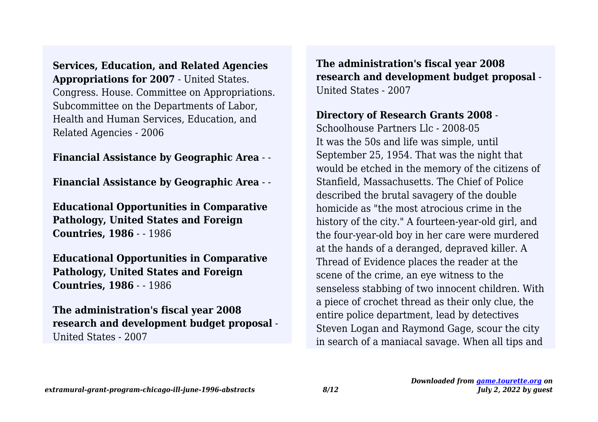**Services, Education, and Related Agencies Appropriations for 2007** - United States. Congress. House. Committee on Appropriations. Subcommittee on the Departments of Labor, Health and Human Services, Education, and Related Agencies - 2006

#### **Financial Assistance by Geographic Area** - -

**Financial Assistance by Geographic Area** - -

**Educational Opportunities in Comparative Pathology, United States and Foreign Countries, 1986** - - 1986

**Educational Opportunities in Comparative Pathology, United States and Foreign Countries, 1986** - - 1986

**The administration's fiscal year 2008 research and development budget proposal** - United States - 2007

**The administration's fiscal year 2008 research and development budget proposal** - United States - 2007

# **Directory of Research Grants 2008** -

Schoolhouse Partners Llc - 2008-05 It was the 50s and life was simple, until September 25, 1954. That was the night that would be etched in the memory of the citizens of Stanfield, Massachusetts. The Chief of Police described the brutal savagery of the double homicide as "the most atrocious crime in the history of the city." A fourteen-year-old girl, and the four-year-old boy in her care were murdered at the hands of a deranged, depraved killer. A Thread of Evidence places the reader at the scene of the crime, an eye witness to the senseless stabbing of two innocent children. With a piece of crochet thread as their only clue, the entire police department, lead by detectives Steven Logan and Raymond Gage, scour the city in search of a maniacal savage. When all tips and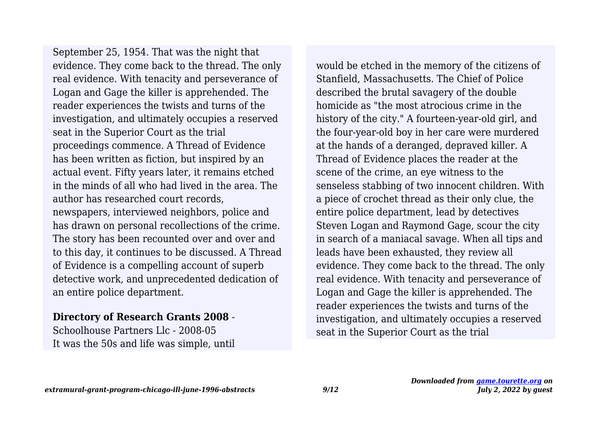evidence. They come back to the thread. The only real evidence. With tenacity and perseverance of Logan and Gage the killer is apprehended. The reader experiences the twists and turns of the investigation, and ultimately occupies a reserved seat in the Superior Court as the trial proceedings commence. A Thread of Evidence has been written as fiction, but inspired by an actual event. Fifty years later, it remains etched in the minds of all who had lived in the area. The author has researched court records, newspapers, interviewed neighbors, police and has drawn on personal recollections of the crime. The story has been recounted over and over and to this day, it continues to be discussed. A Thread of Evidence is a compelling account of superb detective work, and unprecedented dedication of an entire police department. September 25, 1954. That was the night that

#### **Directory of Research Grants 2008** -

Schoolhouse Partners Llc - 2008-05 It was the 50s and life was simple, until would be etched in the memory of the citizens of Stanfield, Massachusetts. The Chief of Police described the brutal savagery of the double homicide as "the most atrocious crime in the history of the city." A fourteen-year-old girl, and the four-year-old boy in her care were murdered at the hands of a deranged, depraved killer. A Thread of Evidence places the reader at the scene of the crime, an eye witness to the senseless stabbing of two innocent children. With a piece of crochet thread as their only clue, the entire police department, lead by detectives Steven Logan and Raymond Gage, scour the city in search of a maniacal savage. When all tips and leads have been exhausted, they review all evidence. They come back to the thread. The only real evidence. With tenacity and perseverance of Logan and Gage the killer is apprehended. The reader experiences the twists and turns of the investigation, and ultimately occupies a reserved seat in the Superior Court as the trial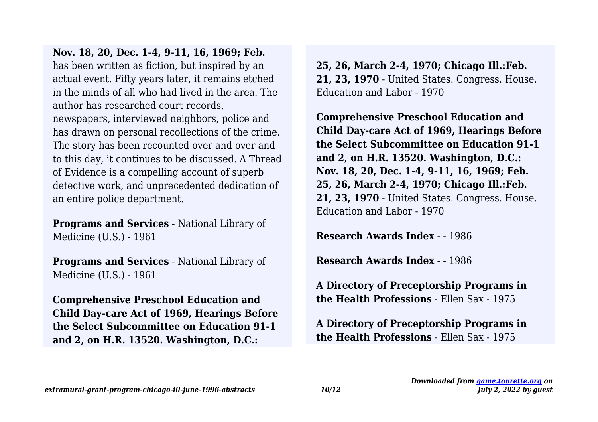has been written as fiction, but inspired by an actual event. Fifty years later, it remains etched in the minds of all who had lived in the area. The author has researched court records, newspapers, interviewed neighbors, police and has drawn on personal recollections of the crime. The story has been recounted over and over and to this day, it continues to be discussed. A Thread of Evidence is a compelling account of superb detective work, and unprecedented dedication of an entire police department. **Nov. 18, 20, Dec. 1-4, 9-11, 16, 1969; Feb.**

**Programs and Services** - National Library of Medicine (U.S.) - 1961

**Programs and Services** - National Library of Medicine (U.S.) - 1961

**Comprehensive Preschool Education and Child Day-care Act of 1969, Hearings Before the Select Subcommittee on Education 91-1 and 2, on H.R. 13520. Washington, D.C.:**

**25, 26, March 2-4, 1970; Chicago Ill.:Feb. 21, 23, 1970** - United States. Congress. House. Education and Labor - 1970

**Comprehensive Preschool Education and Child Day-care Act of 1969, Hearings Before the Select Subcommittee on Education 91-1 and 2, on H.R. 13520. Washington, D.C.: Nov. 18, 20, Dec. 1-4, 9-11, 16, 1969; Feb. 25, 26, March 2-4, 1970; Chicago Ill.:Feb. 21, 23, 1970** - United States. Congress. House. Education and Labor - 1970

**Research Awards Index** - - 1986

**Research Awards Index** - - 1986

**A Directory of Preceptorship Programs in the Health Professions** - Ellen Sax - 1975

**A Directory of Preceptorship Programs in the Health Professions** - Ellen Sax - 1975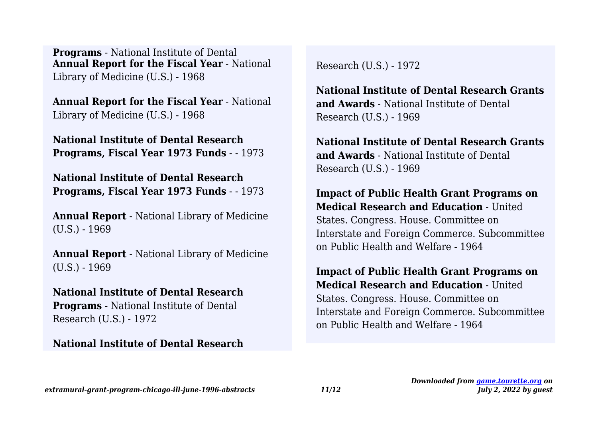**Annual Report for the Fiscal Year** - National Library of Medicine (U.S.) - 1968 **Programs** - National Institute of Dental

**Annual Report for the Fiscal Year** - National Library of Medicine (U.S.) - 1968

**National Institute of Dental Research Programs, Fiscal Year 1973 Funds** - - 1973

**National Institute of Dental Research Programs, Fiscal Year 1973 Funds** - - 1973

**Annual Report** - National Library of Medicine  $(U.S.) - 1969$ 

**Annual Report** - National Library of Medicine  $(U.S.) - 1969$ 

**National Institute of Dental Research Programs** - National Institute of Dental Research (U.S.) - 1972

#### **National Institute of Dental Research**

Research (U.S.) - 1972

**National Institute of Dental Research Grants and Awards** - National Institute of Dental Research (U.S.) - 1969

**National Institute of Dental Research Grants and Awards** - National Institute of Dental Research (U.S.) - 1969

**Impact of Public Health Grant Programs on Medical Research and Education** - United States. Congress. House. Committee on Interstate and Foreign Commerce. Subcommittee on Public Health and Welfare - 1964

**Impact of Public Health Grant Programs on Medical Research and Education** - United States. Congress. House. Committee on Interstate and Foreign Commerce. Subcommittee on Public Health and Welfare - 1964